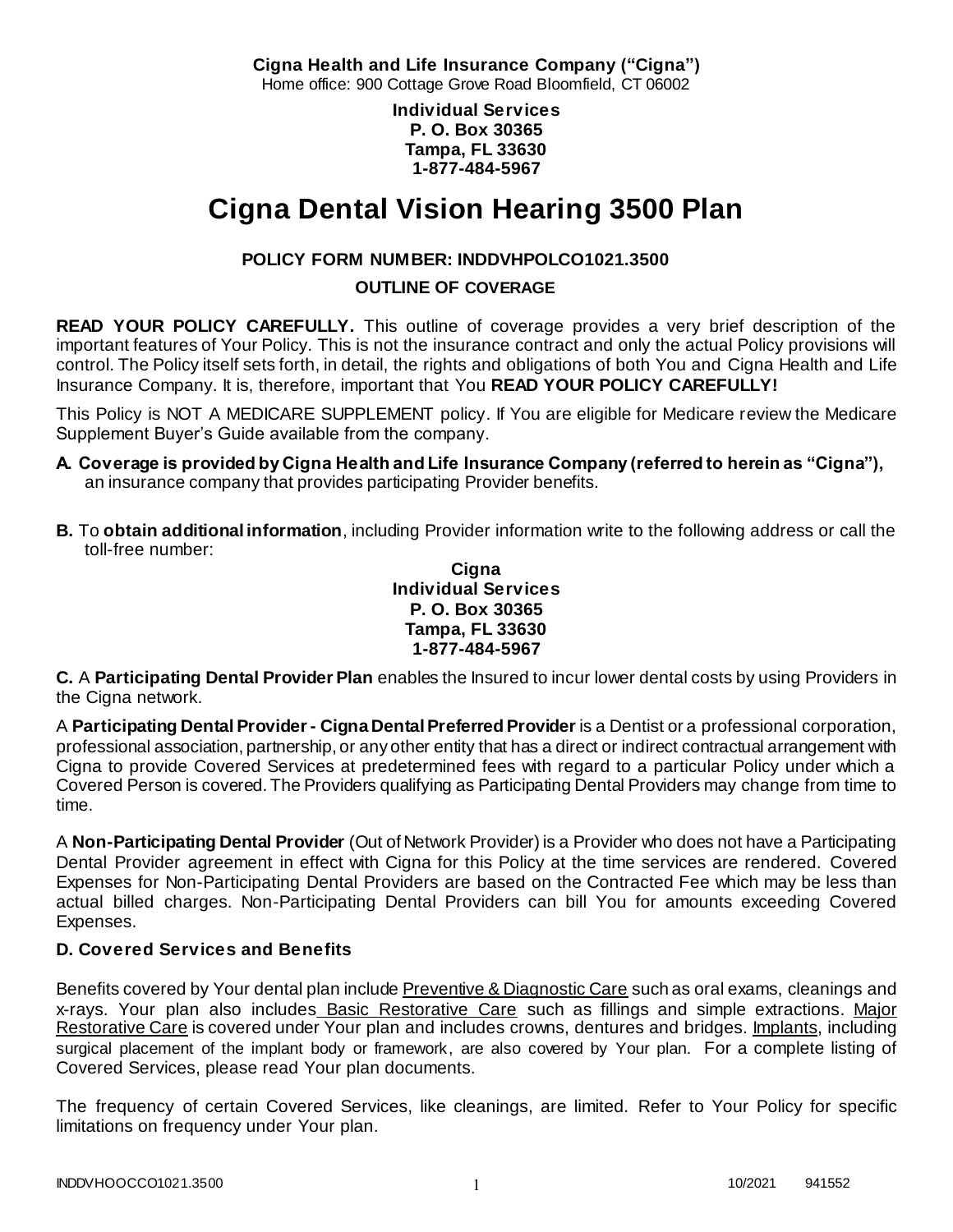**Cigna Health and Life Insurance Company ("Cigna")**

Home office: 900 Cottage Grove Road Bloomfield, CT 06002

**Individual Services P. O. Box 30365 Tampa, FL 33630 1-877-484-5967**

# **Cigna Dental Vision Hearing 3500 Plan**

# **POLICY FORM NUMBER: INDDVHPOLCO1021.3500**

### **OUTLINE OF COVERAGE**

**READ YOUR POLICY CAREFULLY.** This outline of coverage provides a very brief description of the important features of Your Policy. This is not the insurance contract and only the actual Policy provisions will control. The Policy itself sets forth, in detail, the rights and obligations of both You and Cigna Health and Life Insurance Company. It is, therefore, important that You **READ YOUR POLICY CAREFULLY!** 

This Policy is NOT A MEDICARE SUPPLEMENT policy. If You are eligible for Medicare review the Medicare Supplement Buyer's Guide available from the company.

- **A. Coverage is provided by Cigna Health and Life Insurance Company (referred to herein as "Cigna"),**  an insurance company that provides participating Provider benefits.
- **B.** To **obtain additional information**, including Provider information write to the following address or call the toll-free number:

**Cigna Individual Services P. O. Box 30365 Tampa, FL 33630 1-877-484-5967**

**C.** A **Participating Dental Provider Plan** enables the Insured to incur lower dental costs by using Providers in the Cigna network.

A **Participating Dental Provider - Cigna Dental Preferred Provider** is a Dentist or a professional corporation, professional association, partnership, or any other entity that has a direct or indirect contractual arrangement with Cigna to provide Covered Services at predetermined fees with regard to a particular Policy under which a Covered Person is covered. The Providers qualifying as Participating Dental Providers may change from time to time.

A **Non-Participating Dental Provider** (Out of Network Provider) is a Provider who does not have a Participating Dental Provider agreement in effect with Cigna for this Policy at the time services are rendered. Covered Expenses for Non-Participating Dental Providers are based on the Contracted Fee which may be less than actual billed charges. Non-Participating Dental Providers can bill You for amounts exceeding Covered Expenses.

# **D. Covered Services and Benefits**

Benefits covered by Your dental plan include Preventive & Diagnostic Care such as oral exams, cleanings and x-rays. Your plan also includes Basic Restorative Care such as fillings and simple extractions. Major Restorative Care is covered under Your plan and includes crowns, dentures and bridges. Implants, including surgical placement of the implant body or framework, are also covered by Your plan. For a complete listing of Covered Services, please read Your plan documents.

The frequency of certain Covered Services, like cleanings, are limited. Refer to Your Policy for specific limitations on frequency under Your plan.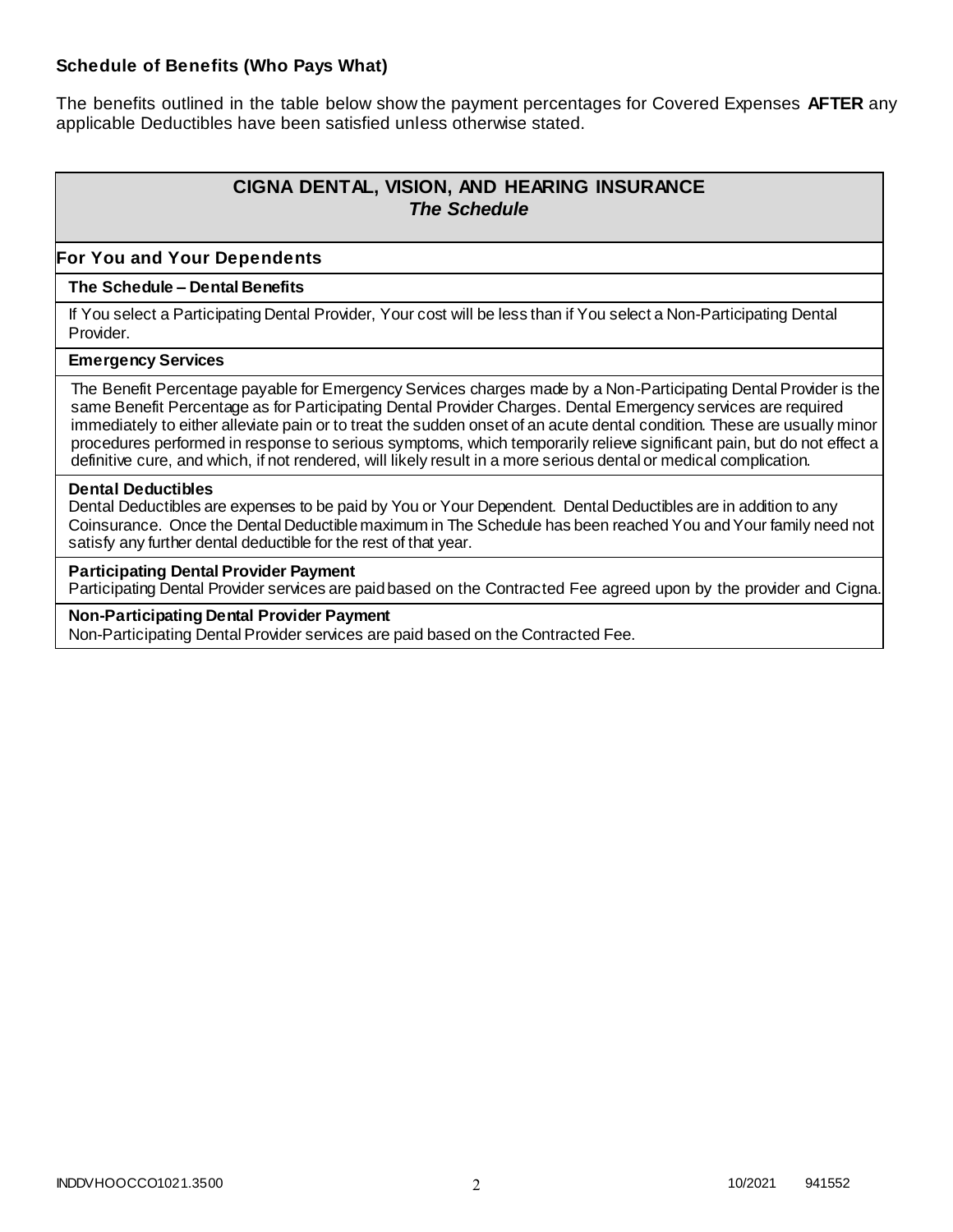#### **Schedule of Benefits (Who Pays What)**

The benefits outlined in the table below show the payment percentages for Covered Expenses **AFTER** any applicable Deductibles have been satisfied unless otherwise stated.

# **CIGNA DENTAL, VISION, AND HEARING INSURANCE** *The Schedule*

#### **For You and Your Dependents**

#### **The Schedule – Dental Benefits**

If You select a Participating Dental Provider, Your cost will be less than if You select a Non-Participating Dental Provider.

#### **Emergency Services**

The Benefit Percentage payable for Emergency Services charges made by a Non-Participating Dental Provider is the same Benefit Percentage as for Participating Dental Provider Charges. Dental Emergency services are required immediately to either alleviate pain or to treat the sudden onset of an acute dental condition. These are usually minor procedures performed in response to serious symptoms, which temporarily relieve significant pain, but do not effect a definitive cure, and which, if not rendered, will likely result in a more serious dental or medical complication.

#### **Dental Deductibles**

Dental Deductibles are expenses to be paid by You or Your Dependent. Dental Deductibles are in addition to any Coinsurance. Once the Dental Deductible maximum in The Schedule has been reached You and Your family need not satisfy any further dental deductible for the rest of that year.

#### **Participating Dental Provider Payment**

Participating Dental Provider services are paid based on the Contracted Fee agreed upon by the provider and Cigna.

**Non-Participating Dental Provider Payment** Non-Participating Dental Provider services are paid based on the Contracted Fee.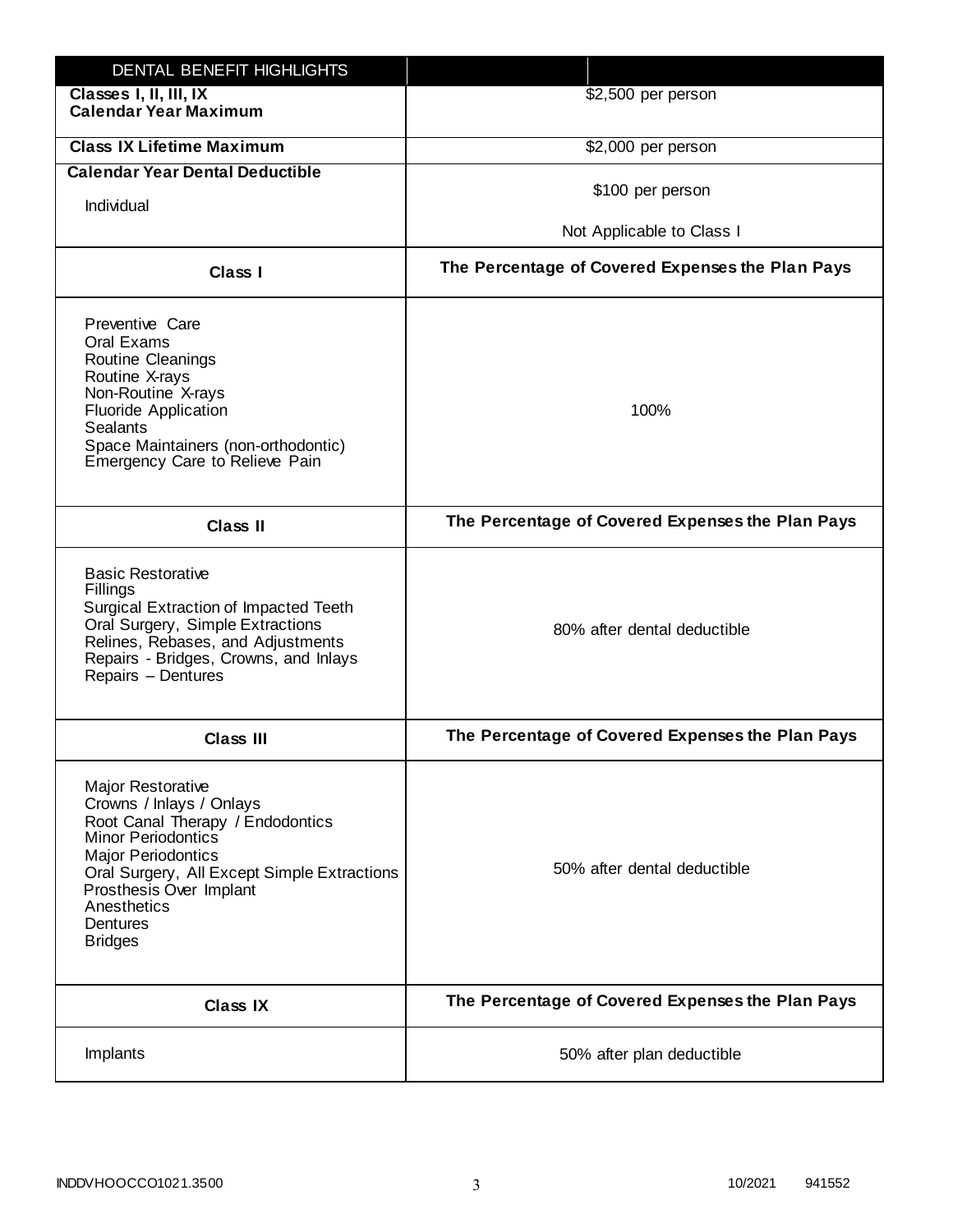| DENTAL BENEFIT HIGHLIGHTS                                                                                                                                                                                                                                                 |                                                  |
|---------------------------------------------------------------------------------------------------------------------------------------------------------------------------------------------------------------------------------------------------------------------------|--------------------------------------------------|
| Classes I, II, III, IX<br><b>Calendar Year Maximum</b>                                                                                                                                                                                                                    | \$2,500 per person                               |
| <b>Class IX Lifetime Maximum</b>                                                                                                                                                                                                                                          | \$2,000 per person                               |
| <b>Calendar Year Dental Deductible</b>                                                                                                                                                                                                                                    |                                                  |
| Individual                                                                                                                                                                                                                                                                | \$100 per person                                 |
|                                                                                                                                                                                                                                                                           | Not Applicable to Class I                        |
| <b>Class I</b>                                                                                                                                                                                                                                                            | The Percentage of Covered Expenses the Plan Pays |
| Preventive Care<br>Oral Exams<br>Routine Cleanings<br>Routine X-rays<br>Non-Routine X-rays<br><b>Fluoride Application</b><br><b>Sealants</b><br>Space Maintainers (non-orthodontic)<br>Emergency Care to Relieve Pain                                                     | 100%                                             |
| <b>Class II</b>                                                                                                                                                                                                                                                           | The Percentage of Covered Expenses the Plan Pays |
| <b>Basic Restorative</b><br>Fillings<br>Surgical Extraction of Impacted Teeth<br>Oral Surgery, Simple Extractions<br>Relines, Rebases, and Adjustments<br>Repairs - Bridges, Crowns, and Inlays<br>Repairs - Dentures                                                     | 80% after dental deductible                      |
| <b>Class III</b>                                                                                                                                                                                                                                                          | The Percentage of Covered Expenses the Plan Pays |
| <b>Major Restorative</b><br>Crowns / Inlays / Onlays<br>Root Canal Therapy / Endodontics<br><b>Minor Periodontics</b><br><b>Major Periodontics</b><br>Oral Surgery, All Except Simple Extractions<br>Prosthesis Over Implant<br>Anesthetics<br>Dentures<br><b>Bridges</b> | 50% after dental deductible                      |
| <b>Class IX</b>                                                                                                                                                                                                                                                           | The Percentage of Covered Expenses the Plan Pays |
| Implants                                                                                                                                                                                                                                                                  | 50% after plan deductible                        |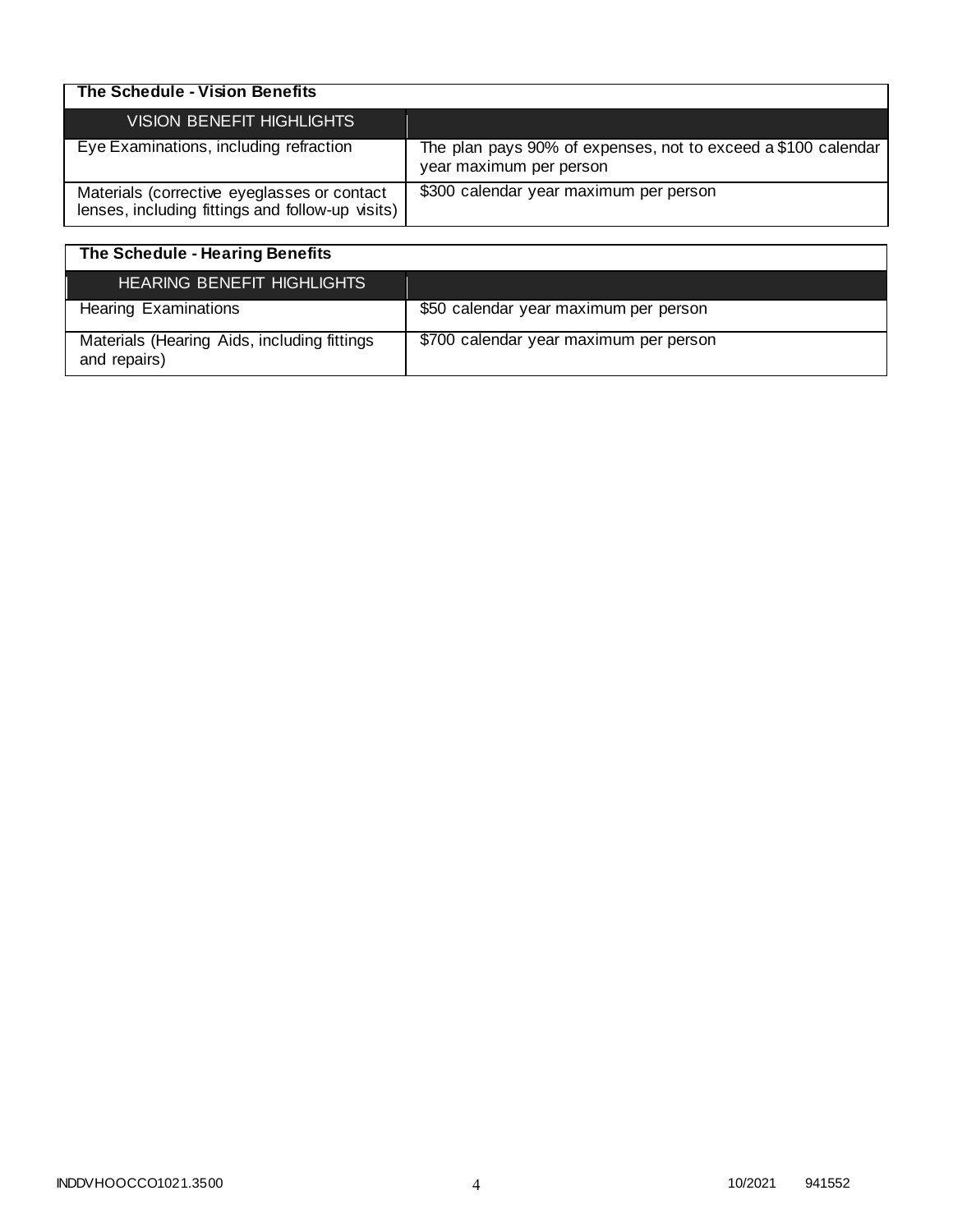| The Schedule - Vision Benefits                                                                  |                                                                                          |
|-------------------------------------------------------------------------------------------------|------------------------------------------------------------------------------------------|
| <b>VISION BENEFIT HIGHLIGHTS</b>                                                                |                                                                                          |
| Eye Examinations, including refraction                                                          | The plan pays 90% of expenses, not to exceed a \$100 calendar<br>year maximum per person |
| Materials (corrective eyeglasses or contact<br>lenses, including fittings and follow-up visits) | \$300 calendar year maximum per person                                                   |

| The Schedule - Hearing Benefits                             |                                        |
|-------------------------------------------------------------|----------------------------------------|
| <b>HEARING BENEFIT HIGHLIGHTS</b>                           |                                        |
| <b>Hearing Examinations</b>                                 | \$50 calendar year maximum per person  |
| Materials (Hearing Aids, including fittings<br>and repairs) | \$700 calendar year maximum per person |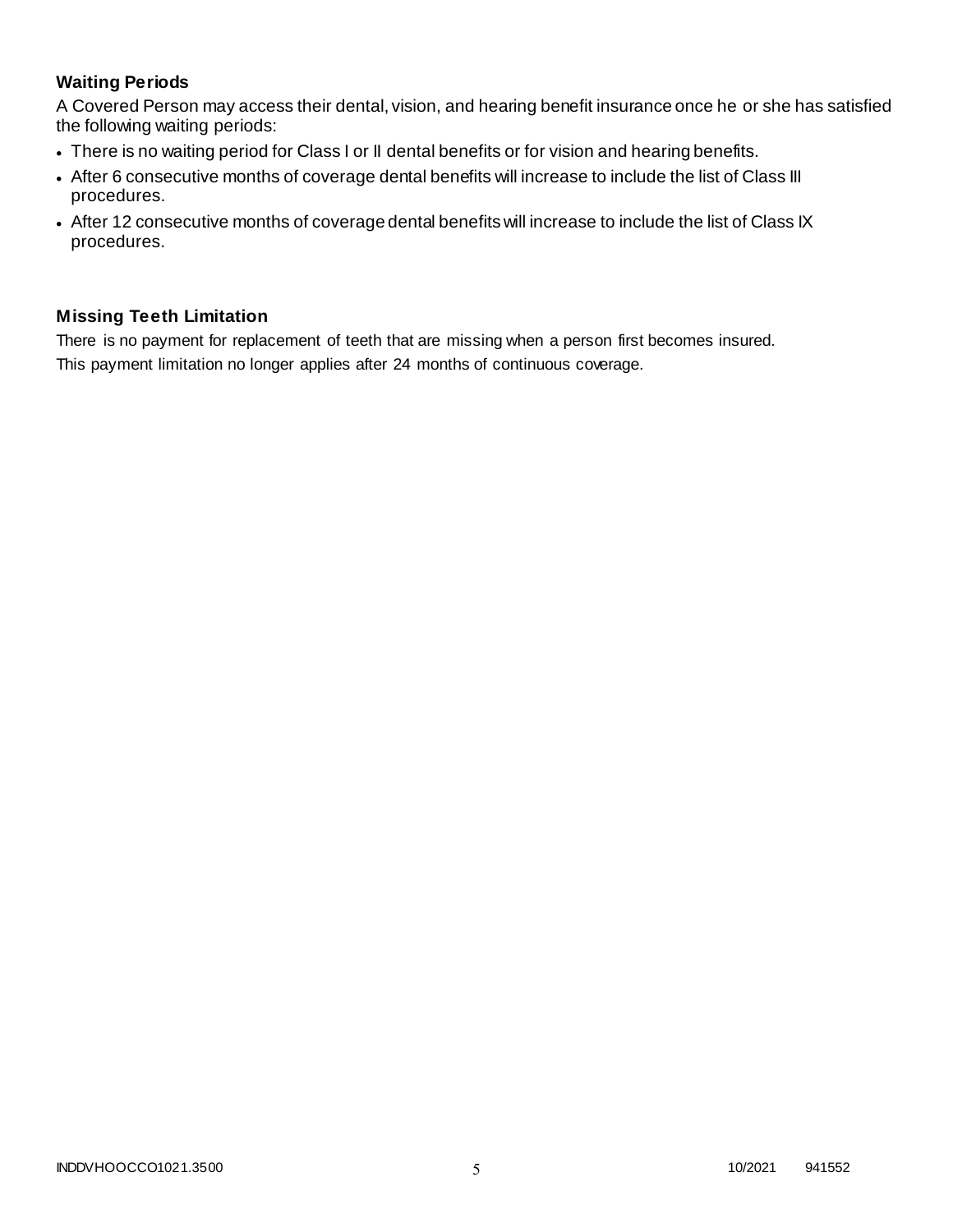# **Waiting Periods**

A Covered Person may access their dental, vision, and hearing benefit insurance once he or she has satisfied the following waiting periods:

- There is no waiting period for Class I or II dental benefits or for vision and hearing benefits.
- After 6 consecutive months of coverage dental benefits will increase to include the list of Class III procedures.
- After 12 consecutive months of coverage dental benefits will increase to include the list of Class IX procedures.

# **Missing Teeth Limitation**

There is no payment for replacement of teeth that are missing when a person first becomes insured. This payment limitation no longer applies after 24 months of continuous coverage.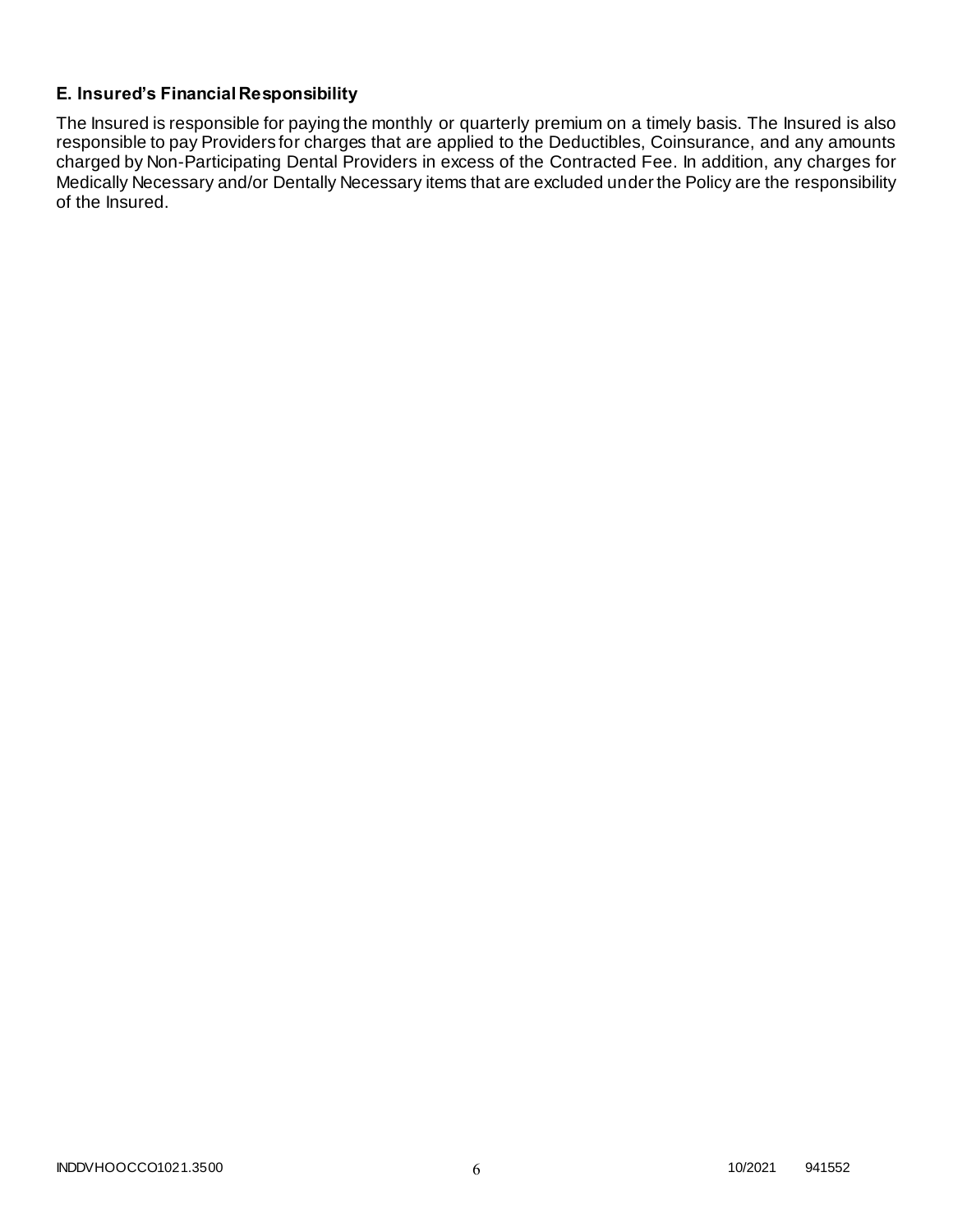# **E. Insured's Financial Responsibility**

The Insured is responsible for paying the monthly or quarterly premium on a timely basis. The Insured is also responsible to pay Providers for charges that are applied to the Deductibles, Coinsurance, and any amounts charged by Non-Participating Dental Providers in excess of the Contracted Fee. In addition, any charges for Medically Necessary and/or Dentally Necessary items that are excluded under the Policy are the responsibility of the Insured.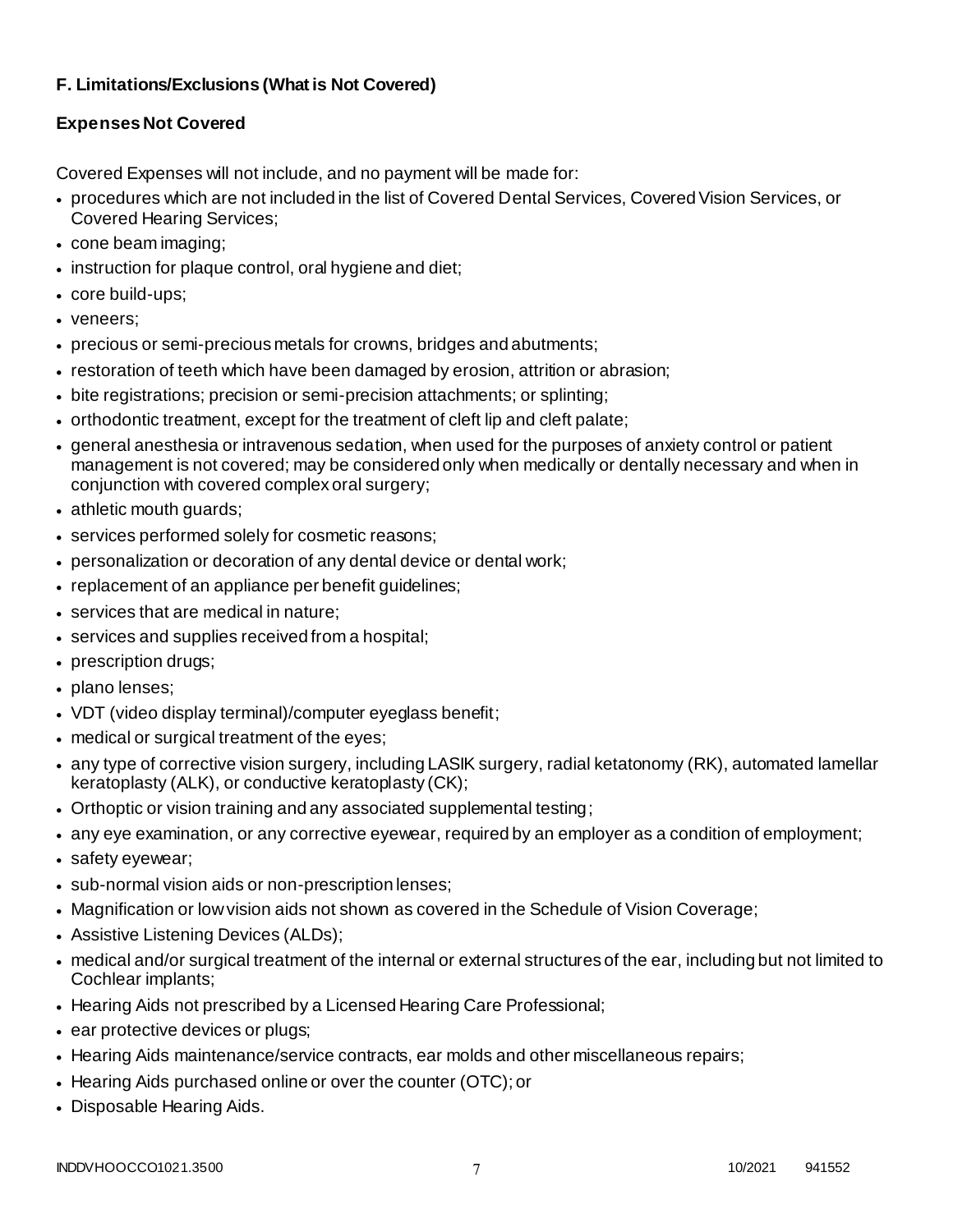# **F. Limitations/Exclusions (What is Not Covered)**

# **Expenses Not Covered**

Covered Expenses will not include, and no payment will be made for:

- procedures which are not included in the list of Covered Dental Services, Covered Vision Services, or Covered Hearing Services;
- cone beam imaging;
- instruction for plaque control, oral hygiene and diet;
- core build-ups;
- veneers;
- precious or semi-precious metals for crowns, bridges and abutments;
- restoration of teeth which have been damaged by erosion, attrition or abrasion;
- bite registrations; precision or semi-precision attachments; or splinting;
- orthodontic treatment, except for the treatment of cleft lip and cleft palate;
- general anesthesia or intravenous sedation, when used for the purposes of anxiety control or patient management is not covered; may be considered only when medically or dentally necessary and when in conjunction with covered complex oral surgery;
- athletic mouth guards;
- services performed solely for cosmetic reasons;
- personalization or decoration of any dental device or dental work;
- replacement of an appliance per benefit guidelines;
- services that are medical in nature;
- services and supplies received from a hospital;
- prescription drugs;
- plano lenses;
- VDT (video display terminal)/computer eyeglass benefit;
- medical or surgical treatment of the eyes;
- any type of corrective vision surgery, including LASIK surgery, radial ketatonomy (RK), automated lamellar keratoplasty (ALK), or conductive keratoplasty (CK);
- Orthoptic or vision training and any associated supplemental testing;
- any eye examination, or any corrective eyewear, required by an employer as a condition of employment;
- safety eyewear;
- sub-normal vision aids or non-prescription lenses;
- Magnification or low vision aids not shown as covered in the Schedule of Vision Coverage;
- Assistive Listening Devices (ALDs);
- medical and/or surgical treatment of the internal or external structures of the ear, including but not limited to Cochlear implants;
- Hearing Aids not prescribed by a Licensed Hearing Care Professional;
- ear protective devices or plugs;
- Hearing Aids maintenance/service contracts, ear molds and other miscellaneous repairs;
- Hearing Aids purchased online or over the counter (OTC); or
- Disposable Hearing Aids.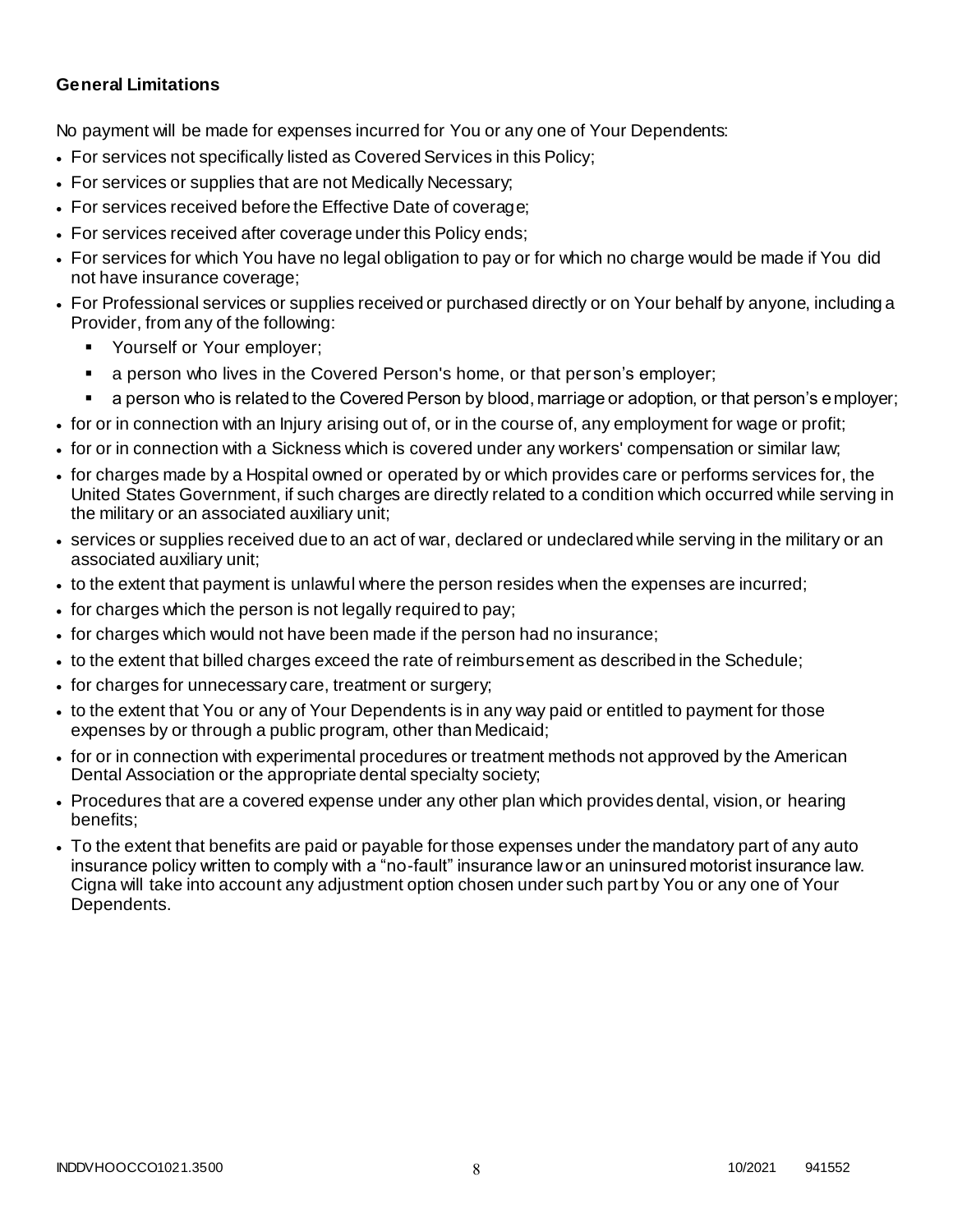### **General Limitations**

No payment will be made for expenses incurred for You or any one of Your Dependents:

- For services not specifically listed as Covered Services in this Policy;
- For services or supplies that are not Medically Necessary;
- For services received before the Effective Date of coverage;
- For services received after coverage under this Policy ends;
- For services for which You have no legal obligation to pay or for which no charge would be made if You did not have insurance coverage;
- For Professional services or supplies received or purchased directly or on Your behalf by anyone, including a Provider, from any of the following:
	- Yourself or Your employer;
	- a person who lives in the Covered Person's home, or that person's employer;
	- a person who is related to the Covered Person by blood, marriage or adoption, or that person's employer;
- for or in connection with an Injury arising out of, or in the course of, any employment for wage or profit;
- for or in connection with a Sickness which is covered under any workers' compensation or similar law;
- for charges made by a Hospital owned or operated by or which provides care or performs services for, the United States Government, if such charges are directly related to a condition which occurred while serving in the military or an associated auxiliary unit;
- services or supplies received due to an act of war, declared or undeclared while serving in the military or an associated auxiliary unit;
- to the extent that payment is unlawful where the person resides when the expenses are incurred;
- for charges which the person is not legally required to pay;
- for charges which would not have been made if the person had no insurance;
- to the extent that billed charges exceed the rate of reimbursement as described in the Schedule;
- for charges for unnecessary care, treatment or surgery;
- to the extent that You or any of Your Dependents is in any way paid or entitled to payment for those expenses by or through a public program, other than Medicaid;
- for or in connection with experimental procedures or treatment methods not approved by the American Dental Association or the appropriate dental specialty society;
- Procedures that are a covered expense under any other plan which provides dental, vision, or hearing benefits;
- To the extent that benefits are paid or payable for those expenses under the mandatory part of any auto insurance policy written to comply with a "no-fault" insurance law or an uninsured motorist insurance law. Cigna will take into account any adjustment option chosen under such part by You or any one of Your Dependents.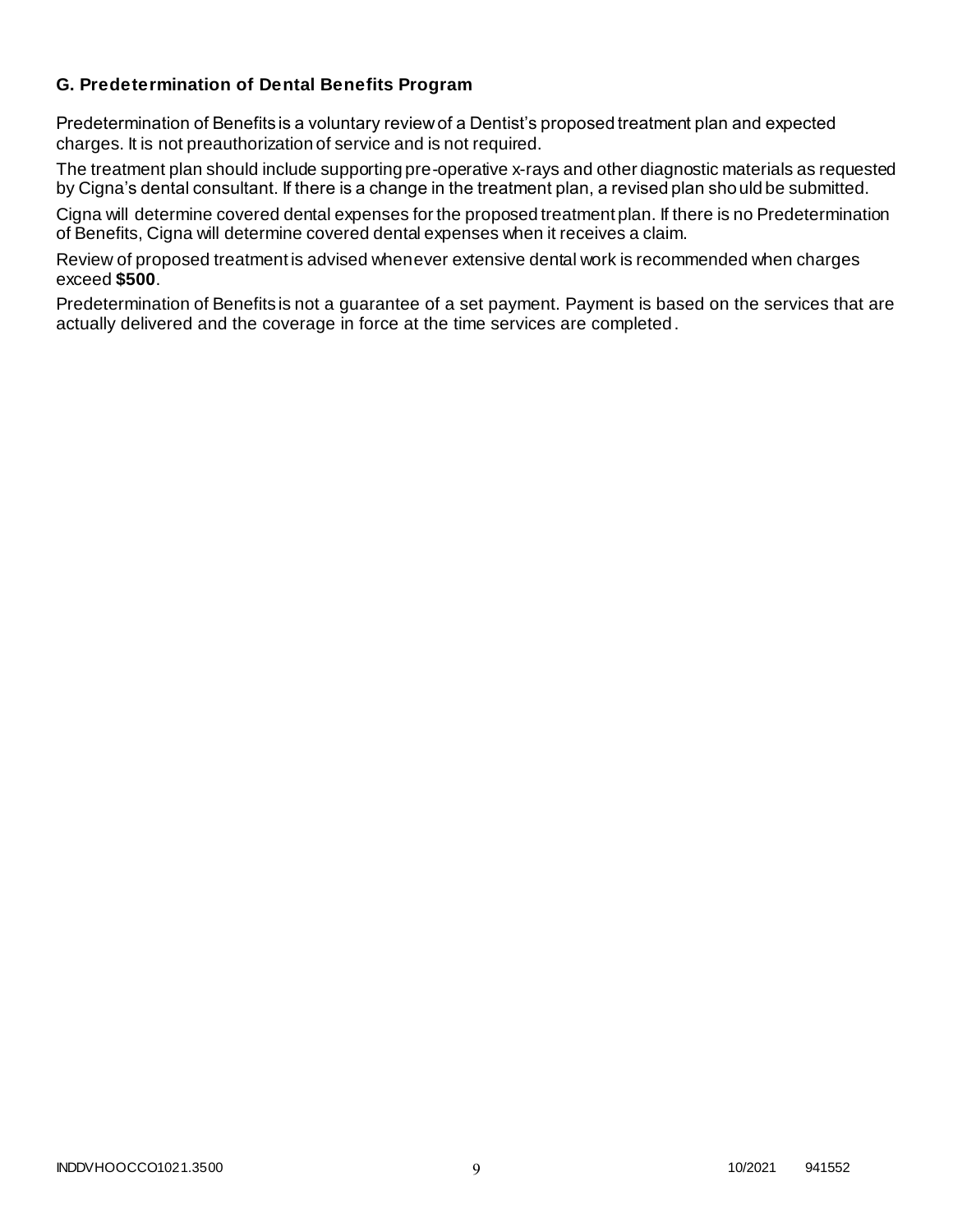### **G. Predetermination of Dental Benefits Program**

Predetermination of Benefits is a voluntary review of a Dentist's proposed treatment plan and expected charges. It is not preauthorization of service and is not required.

The treatment plan should include supporting pre-operative x-rays and other diagnostic materials as requested by Cigna's dental consultant. If there is a change in the treatment plan, a revised plan should be submitted.

Cigna will determine covered dental expenses for the proposed treatment plan. If there is no Predetermination of Benefits, Cigna will determine covered dental expenses when it receives a claim.

Review of proposed treatment is advised whenever extensive dental work is recommended when charges exceed **\$500**.

Predetermination of Benefits is not a guarantee of a set payment. Payment is based on the services that are actually delivered and the coverage in force at the time services are completed.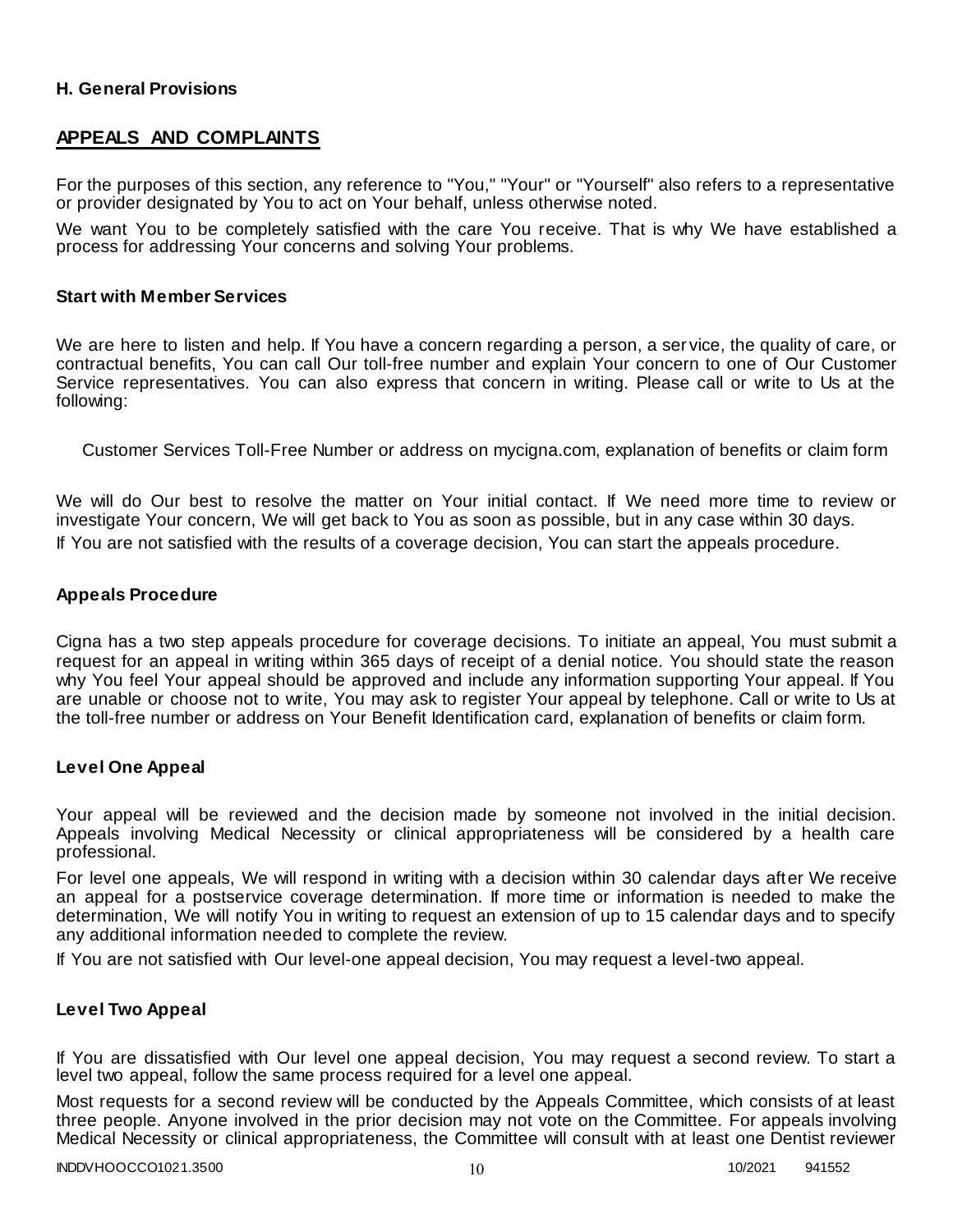### **H. General Provisions**

# **APPEALS AND COMPLAINTS**

For the purposes of this section, any reference to "You," "Your" or "Yourself" also refers to a representative or provider designated by You to act on Your behalf, unless otherwise noted.

We want You to be completely satisfied with the care You receive. That is why We have established a process for addressing Your concerns and solving Your problems.

#### **Start with Member Services**

We are here to listen and help. If You have a concern regarding a person, a ser vice, the quality of care, or contractual benefits, You can call Our toll-free number and explain Your concern to one of Our Customer Service representatives. You can also express that concern in writing. Please call or write to Us at the following:

Customer Services Toll-Free Number or address on mycigna.com, explanation of benefits or claim form

We will do Our best to resolve the matter on Your initial contact. If We need more time to review or investigate Your concern, We will get back to You as soon as possible, but in any case within 30 days. If You are not satisfied with the results of a coverage decision, You can start the appeals procedure.

#### **Appeals Procedure**

Cigna has a two step appeals procedure for coverage decisions. To initiate an appeal, You must submit a request for an appeal in writing within 365 days of receipt of a denial notice. You should state the reason why You feel Your appeal should be approved and include any information supporting Your appeal. If You are unable or choose not to write, You may ask to register Your appeal by telephone. Call or write to Us at the toll-free number or address on Your Benefit Identification card, explanation of benefits or claim form.

#### **Level One Appeal**

Your appeal will be reviewed and the decision made by someone not involved in the initial decision. Appeals involving Medical Necessity or clinical appropriateness will be considered by a health care professional.

For level one appeals, We will respond in writing with a decision within 30 calendar days after We receive an appeal for a postservice coverage determination. If more time or information is needed to make the determination, We will notify You in writing to request an extension of up to 15 calendar days and to specify any additional information needed to complete the review.

If You are not satisfied with Our level-one appeal decision, You may request a level-two appeal.

#### **Level Two Appeal**

If You are dissatisfied with Our level one appeal decision, You may request a second review. To start a level two appeal, follow the same process required for a level one appeal.

Most requests for a second review will be conducted by the Appeals Committee, which consists of at least three people. Anyone involved in the prior decision may not vote on the Committee. For appeals involving Medical Necessity or clinical appropriateness, the Committee will consult with at least one Dentist reviewer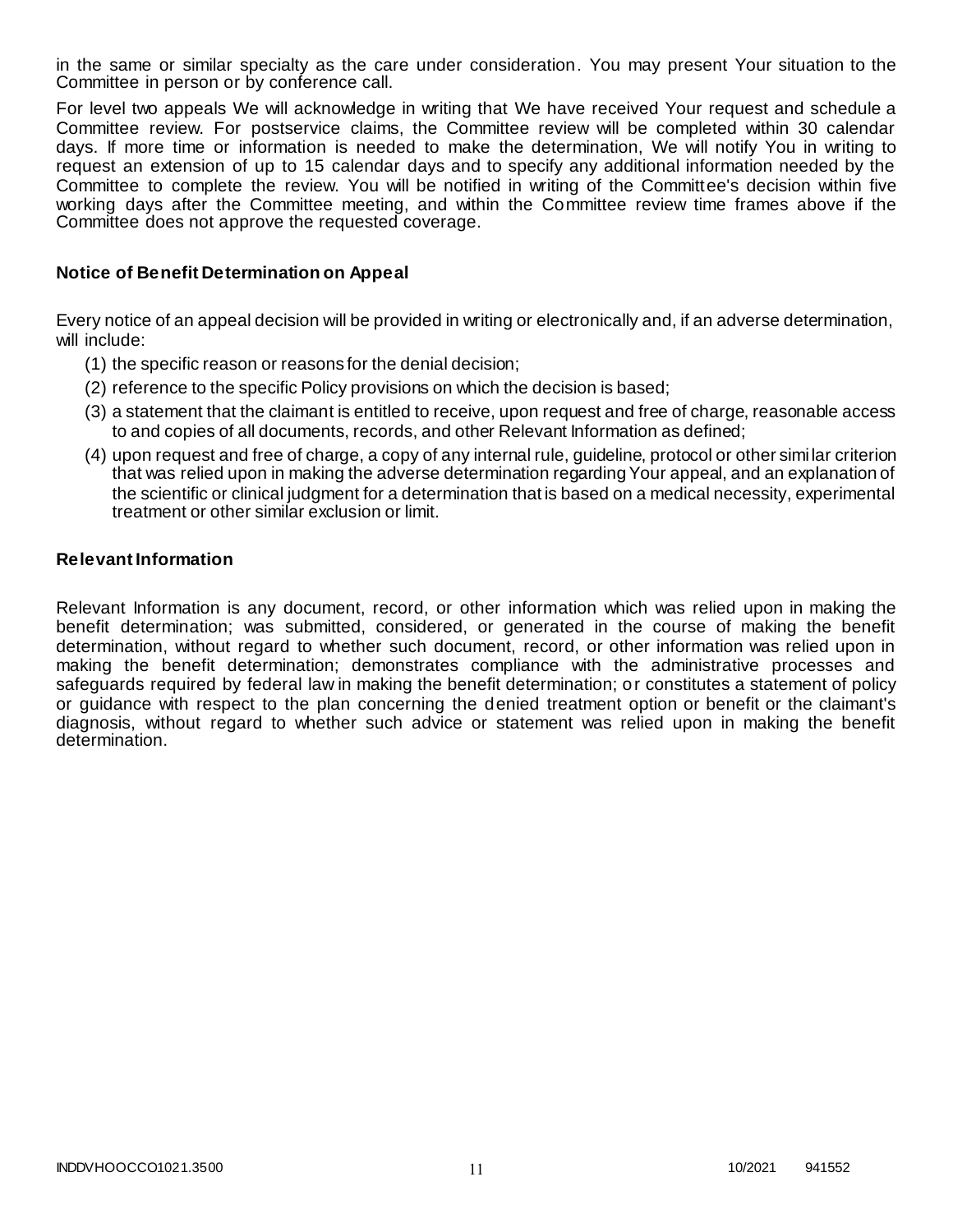in the same or similar specialty as the care under consideration. You may present Your situation to the Committee in person or by conference call.

For level two appeals We will acknowledge in writing that We have received Your request and schedule a Committee review. For postservice claims, the Committee review will be completed within 30 calendar days. If more time or information is needed to make the determination, We will notify You in writing to request an extension of up to 15 calendar days and to specify any additional information needed by the Committee to complete the review. You will be notified in writing of the Committee's decision within five working days after the Committee meeting, and within the Committee review time frames above if the Committee does not approve the requested coverage.

#### **Notice of Benefit Determination on Appeal**

Every notice of an appeal decision will be provided in writing or electronically and, if an adverse determination, will include:

- (1) the specific reason or reasons for the denial decision;
- (2) reference to the specific Policy provisions on which the decision is based;
- (3) a statement that the claimant is entitled to receive, upon request and free of charge, reasonable access to and copies of all documents, records, and other Relevant Information as defined;
- (4) upon request and free of charge, a copy of any internal rule, guideline, protocol or other simi lar criterion that was relied upon in making the adverse determination regarding Your appeal, and an explanation of the scientific or clinical judgment for a determination that is based on a medical necessity, experimental treatment or other similar exclusion or limit.

#### **Relevant Information**

Relevant Information is any document, record, or other information which was relied upon in making the benefit determination; was submitted, considered, or generated in the course of making the benefit determination, without regard to whether such document, record, or other information was relied upon in making the benefit determination; demonstrates compliance with the administrative processes and safeguards required by federal law in making the benefit determination; or constitutes a statement of policy or guidance with respect to the plan concerning the denied treatment option or benefit or the claimant's diagnosis, without regard to whether such advice or statement was relied upon in making the benefit determination.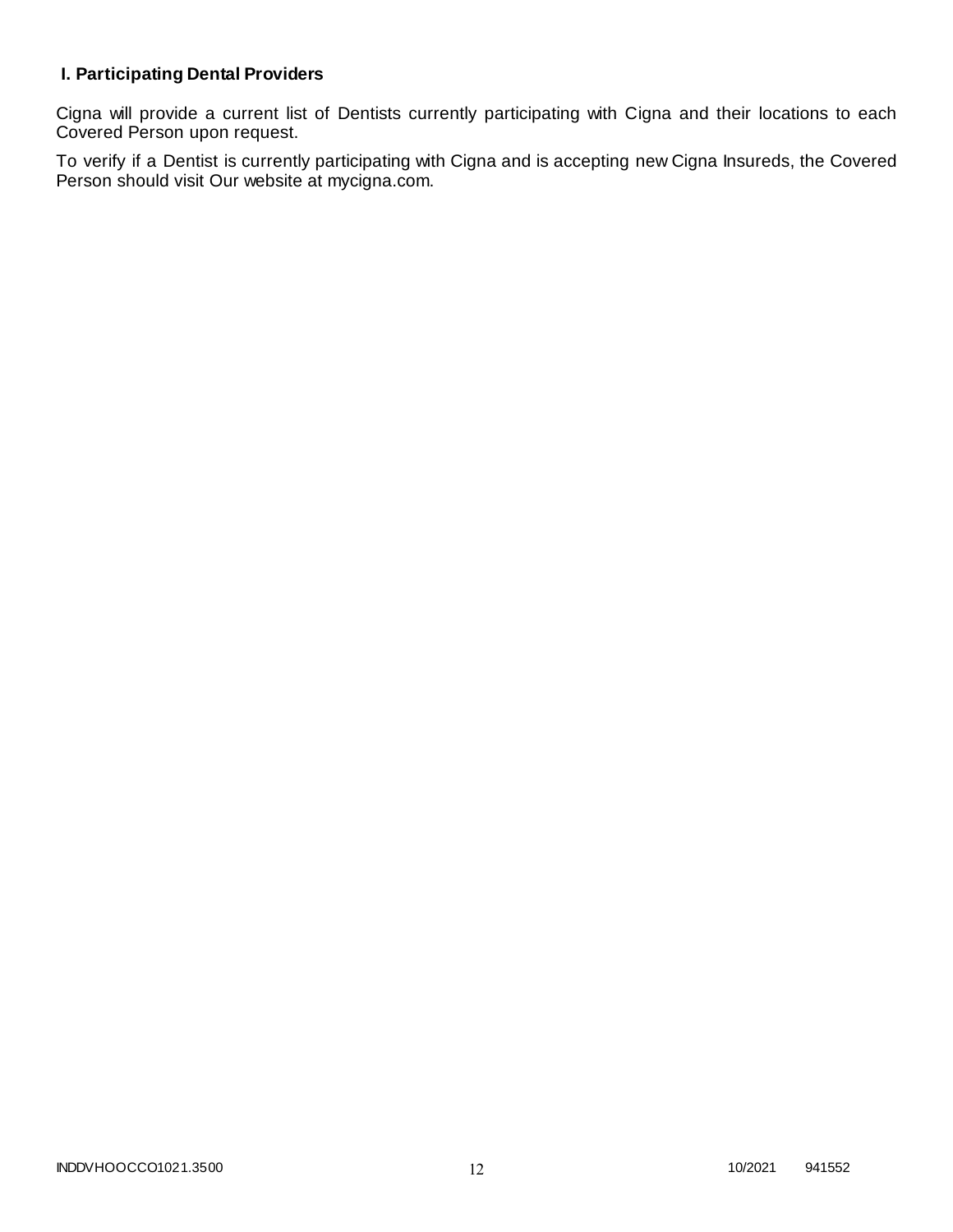# **I. Participating Dental Providers**

Cigna will provide a current list of Dentists currently participating with Cigna and their locations to each Covered Person upon request.

To verify if a Dentist is currently participating with Cigna and is accepting new Cigna Insureds, the Covered Person should visit Our website at mycigna.com.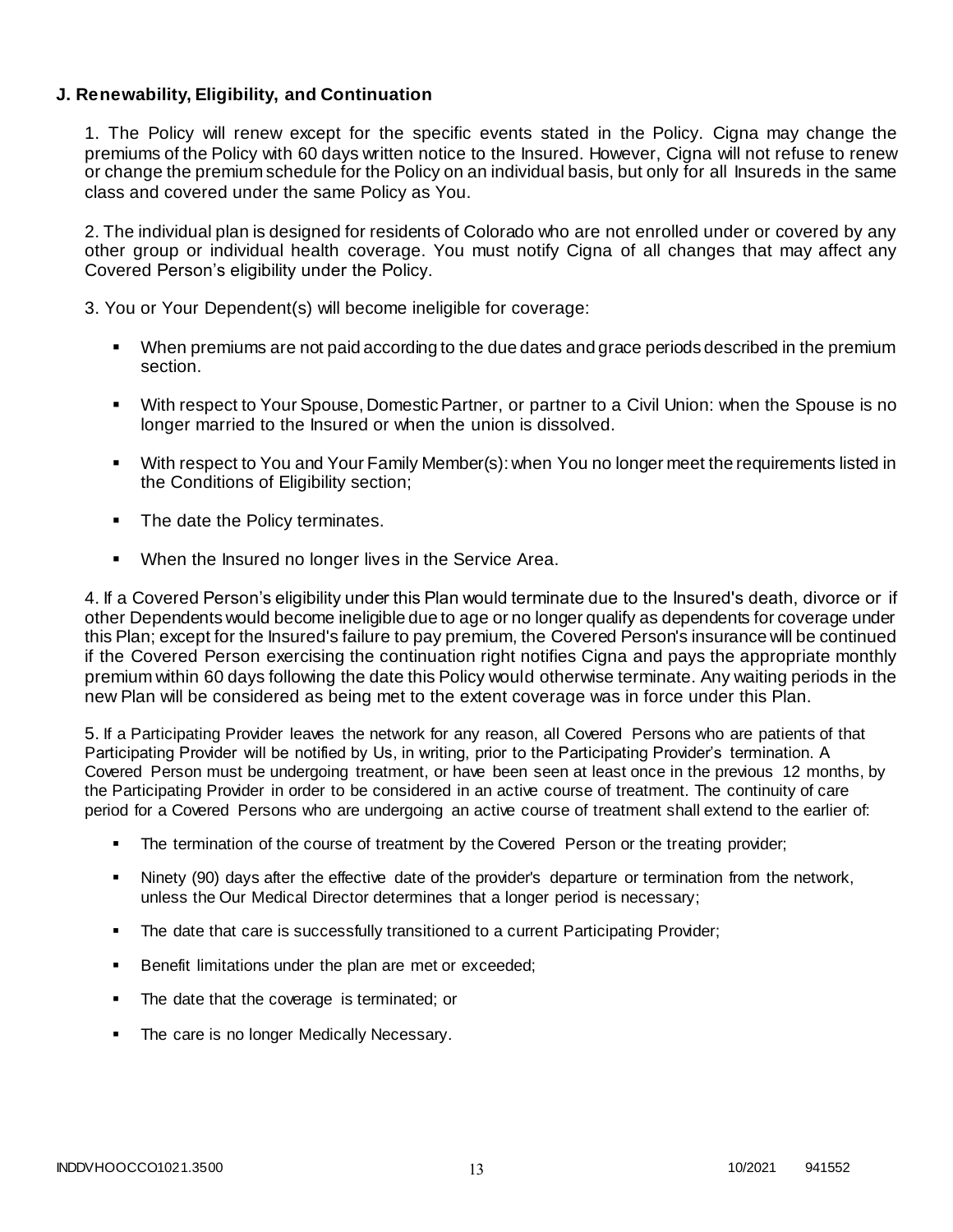### **J. Renewability, Eligibility, and Continuation**

1. The Policy will renew except for the specific events stated in the Policy. Cigna may change the premiums of the Policy with 60 days written notice to the Insured. However, Cigna will not refuse to renew or change the premium schedule for the Policy on an individual basis, but only for all Insureds in the same class and covered under the same Policy as You.

2. The individual plan is designed for residents of Colorado who are not enrolled under or covered by any other group or individual health coverage. You must notify Cigna of all changes that may affect any Covered Person's eligibility under the Policy.

3. You or Your Dependent(s) will become ineligible for coverage:

- When premiums are not paid according to the due dates and grace periods described in the premium section.
- With respect to Your Spouse, Domestic Partner, or partner to a Civil Union: when the Spouse is no longer married to the Insured or when the union is dissolved.
- With respect to You and Your Family Member(s): when You no longer meet the requirements listed in the Conditions of Eligibility section;
- The date the Policy terminates.
- **When the Insured no longer lives in the Service Area.**

4. If a Covered Person's eligibility under this Plan would terminate due to the Insured's death, divorce or if other Dependents would become ineligible due to age or no longer qualify as dependents for coverage under this Plan; except for the Insured's failure to pay premium, the Covered Person's insurance will be continued if the Covered Person exercising the continuation right notifies Cigna and pays the appropriate monthly premium within 60 days following the date this Policy would otherwise terminate. Any waiting periods in the new Plan will be considered as being met to the extent coverage was in force under this Plan.

5. If a Participating Provider leaves the network for any reason, all Covered Persons who are patients of that Participating Provider will be notified by Us, in writing, prior to the Participating Provider's termination. A Covered Person must be undergoing treatment, or have been seen at least once in the previous 12 months, by the Participating Provider in order to be considered in an active course of treatment. The continuity of care period for a Covered Persons who are undergoing an active course of treatment shall extend to the earlier of:

- The termination of the course of treatment by the Covered Person or the treating provider;
- Ninety (90) days after the effective date of the provider's departure or termination from the network, unless the Our Medical Director determines that a longer period is necessary;
- The date that care is successfully transitioned to a current Participating Provider;
- Benefit limitations under the plan are met or exceeded;
- The date that the coverage is terminated; or
- The care is no longer Medically Necessary.